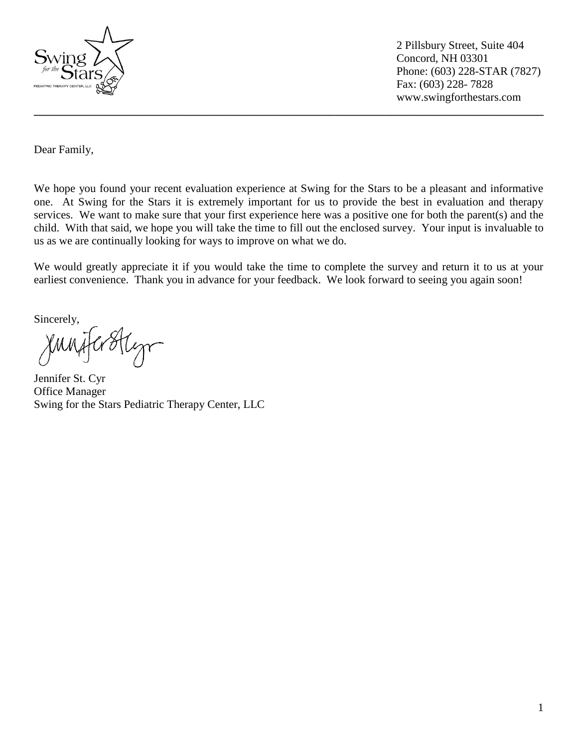

 2 Pillsbury Street, Suite 404 Concord, NH 03301 Phone: (603) 228-STAR (7827) Fax: (603) 228- 7828 www.swingforthestars.com

Dear Family,

We hope you found your recent evaluation experience at Swing for the Stars to be a pleasant and informative one. At Swing for the Stars it is extremely important for us to provide the best in evaluation and therapy services. We want to make sure that your first experience here was a positive one for both the parent(s) and the child. With that said, we hope you will take the time to fill out the enclosed survey. Your input is invaluable to us as we are continually looking for ways to improve on what we do.

**\_\_\_\_\_\_\_\_\_\_\_\_\_\_\_\_\_\_\_\_\_\_\_\_\_\_\_\_\_\_\_\_\_\_\_\_\_\_\_\_\_\_\_\_\_\_\_\_\_\_\_\_\_\_\_\_\_\_\_\_\_\_\_\_\_\_\_\_\_\_\_\_\_\_\_\_\_\_\_\_\_\_\_\_\_\_\_\_\_\_**

We would greatly appreciate it if you would take the time to complete the survey and return it to us at your earliest convenience. Thank you in advance for your feedback. We look forward to seeing you again soon!

Sincerely,

Jennifer St. Cyr Office Manager Swing for the Stars Pediatric Therapy Center, LLC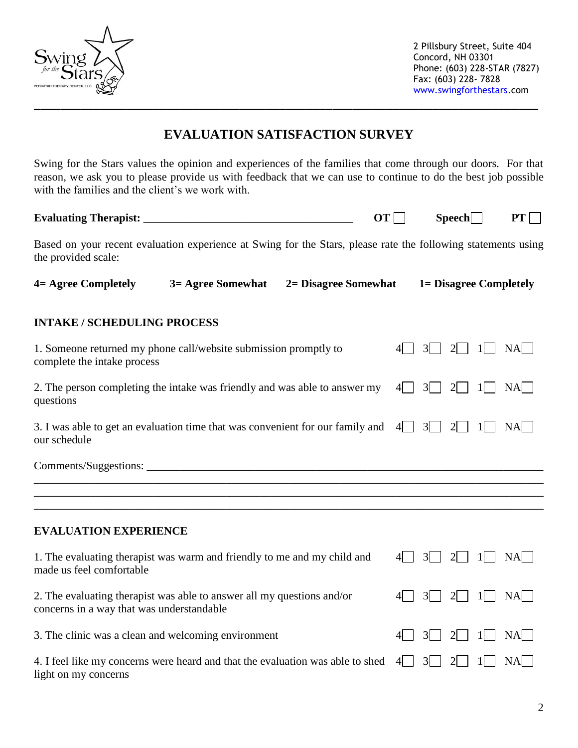

 2 Pillsbury Street, Suite 404 Concord, NH 03301 Phone: (603) 228-STAR (7827) Fax: (603) 228- 7828 [www.swingforthestars.](http://www.swingforthestars/)com

## **EVALUATION SATISFACTION SURVEY**

Swing for the Stars values the opinion and experiences of the families that come through our doors. For that reason, we ask you to please provide us with feedback that we can use to continue to do the best job possible with the families and the client's we work with.

| <b>Evaluating Therapist:</b>                                                                                                         | $OT$ | Speech | $PT$ |
|--------------------------------------------------------------------------------------------------------------------------------------|------|--------|------|
| Based on your recent evaluation experience at Swing for the Stars, please rate the following statements using<br>the provided scale: |      |        |      |

| 4 = Agree Completely | 3 = Agree Somewhat | <b>2= Disagree Somewhat</b> | <b>1= Disagree Completely</b> |
|----------------------|--------------------|-----------------------------|-------------------------------|
|----------------------|--------------------|-----------------------------|-------------------------------|

## **INTAKE / SCHEDULING PROCESS**

| 1. Someone returned my phone call/website submission promptly to<br>complete the intake process                     | NA                                                     |
|---------------------------------------------------------------------------------------------------------------------|--------------------------------------------------------|
| 2. The person completing the intake was friendly and was able to answer my<br>questions                             | $3 \mid$<br> 4 <br>2 <sup>1</sup><br>$NA$  <br>$1\Box$ |
| 3. I was able to get an evaluation time that was convenient for our family and<br>our schedule                      | $3 \vert$<br>$NA$  <br> 4 <br>$\overline{2}$           |
|                                                                                                                     |                                                        |
|                                                                                                                     |                                                        |
|                                                                                                                     |                                                        |
|                                                                                                                     |                                                        |
| <b>EVALUATION EXPERIENCE</b>                                                                                        |                                                        |
| 1. The evaluating therapist was warm and friendly to me and my child and<br>made us feel comfortable                | 3 <br>$\overline{2}$<br>NA <br>41 L                    |
| 2. The evaluating therapist was able to answer all my questions and/or<br>concerns in a way that was understandable | 3 <sup>1</sup><br>$\overline{2}$<br>$NA$   <br>11      |

| 4. I feel like my concerns were heard and that the evaluation was able to shed $4\Box$ 3 $\Box$ 2 $\Box$ 1 $\Box$ NA |  |  |  |
|----------------------------------------------------------------------------------------------------------------------|--|--|--|
| light on my concerns                                                                                                 |  |  |  |